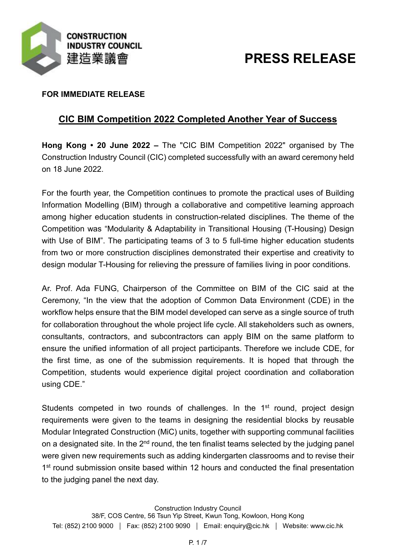

# **PRESS RELEASE**

### **FOR IMMEDIATE RELEASE**

## **CIC BIM Competition 2022 Completed Another Year of Success**

**Hong Kong • 20 June 2022 –** The "CIC BIM Competition 2022" organised by The Construction Industry Council (CIC) completed successfully with an award ceremony held on 18 June 2022.

For the fourth year, the Competition continues to promote the practical uses of Building Information Modelling (BIM) through a collaborative and competitive learning approach among higher education students in construction-related disciplines. The theme of the Competition was "Modularity & Adaptability in Transitional Housing (T-Housing) Design with Use of BIM". The participating teams of 3 to 5 full-time higher education students from two or more construction disciplines demonstrated their expertise and creativity to design modular T-Housing for relieving the pressure of families living in poor conditions.

Ar. Prof. Ada FUNG, Chairperson of the Committee on BIM of the CIC said at the Ceremony, "In the view that the adoption of Common Data Environment (CDE) in the workflow helps ensure that the BIM model developed can serve as a single source of truth for collaboration throughout the whole project life cycle. All stakeholders such as owners, consultants, contractors, and subcontractors can apply BIM on the same platform to ensure the unified information of all project participants. Therefore we include CDE, for the first time, as one of the submission requirements. It is hoped that through the Competition, students would experience digital project coordination and collaboration using CDE."

Students competed in two rounds of challenges. In the 1<sup>st</sup> round, project design requirements were given to the teams in designing the residential blocks by reusable Modular Integrated Construction (MiC) units, together with supporting communal facilities on a designated site. In the 2<sup>nd</sup> round, the ten finalist teams selected by the judging panel were given new requirements such as adding kindergarten classrooms and to revise their 1<sup>st</sup> round submission onsite based within 12 hours and conducted the final presentation to the judging panel the next day.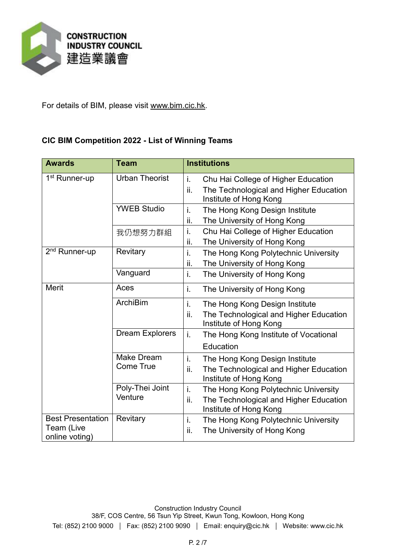

For details of BIM, please visit [www.bim.cic.hk.](http://www.bim.cic.hk/)

#### **CIC BIM Competition 2022 - List of Winning Teams**

| <b>Awards</b>                                            | <b>Team</b>                    | <b>Institutions</b>                                                                                                   |
|----------------------------------------------------------|--------------------------------|-----------------------------------------------------------------------------------------------------------------------|
| 1 <sup>st</sup> Runner-up                                | <b>Urban Theorist</b>          | i.<br>Chu Hai College of Higher Education<br>ii.<br>The Technological and Higher Education<br>Institute of Hong Kong  |
|                                                          | <b>YWEB Studio</b>             | i.<br>The Hong Kong Design Institute<br>The University of Hong Kong<br>ii.                                            |
|                                                          | 我仍想努力群組                        | i.<br>Chu Hai College of Higher Education<br>ii.<br>The University of Hong Kong                                       |
| 2 <sup>nd</sup> Runner-up                                | Revitary                       | i.<br>The Hong Kong Polytechnic University<br>The University of Hong Kong<br>ii.                                      |
|                                                          | Vanguard                       | i.<br>The University of Hong Kong                                                                                     |
| <b>Merit</b>                                             | Aces                           | i.<br>The University of Hong Kong                                                                                     |
|                                                          | <b>ArchiBim</b>                | i.<br>The Hong Kong Design Institute<br>ii.<br>The Technological and Higher Education<br>Institute of Hong Kong       |
|                                                          | <b>Dream Explorers</b>         | i.<br>The Hong Kong Institute of Vocational<br>Education                                                              |
|                                                          | Make Dream<br><b>Come True</b> | i.<br>The Hong Kong Design Institute<br>The Technological and Higher Education<br>ii.<br>Institute of Hong Kong       |
|                                                          | Poly-Thei Joint<br>Venture     | i.<br>The Hong Kong Polytechnic University<br>The Technological and Higher Education<br>ii.<br>Institute of Hong Kong |
| <b>Best Presentation</b><br>Team (Live<br>online voting) | Revitary                       | i.<br>The Hong Kong Polytechnic University<br>The University of Hong Kong<br>ii.                                      |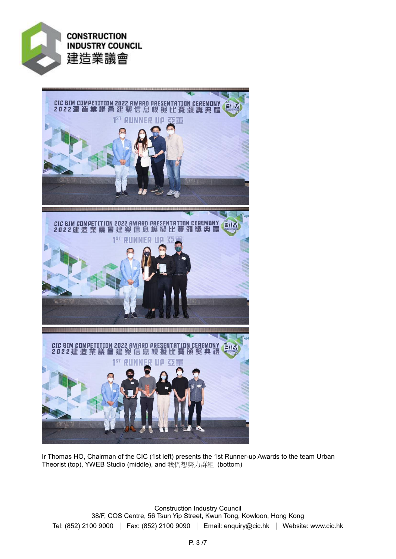



Ir Thomas HO, Chairman of the CIC (1st left) presents the 1st Runner-up Awards to the team Urban Theorist (top), YWEB Studio (middle), and 我仍想努力群組 (bottom)

Construction Industry Council 38/F, COS Centre, 56 Tsun Yip Street, Kwun Tong, Kowloon, Hong Kong Tel: (852) 2100 9000 | Fax: (852) 2100 9090 | Email: enquiry@cic.hk | Website: www.cic.hk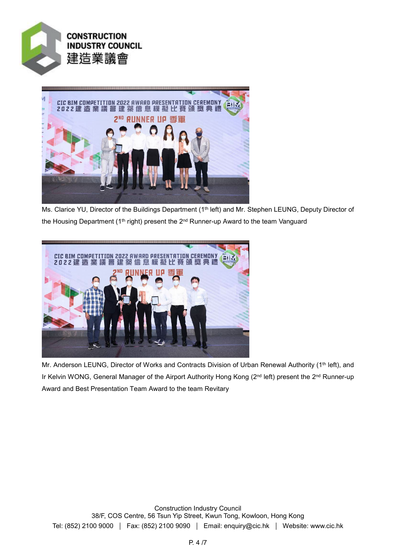



Ms. Clarice YU, Director of the Buildings Department (1<sup>th</sup> left) and Mr. Stephen LEUNG, Deputy Director of the Housing Department ( $1<sup>th</sup>$  right) present the  $2<sup>nd</sup>$  Runner-up Award to the team Vanguard



Mr. Anderson LEUNG, Director of Works and Contracts Division of Urban Renewal Authority (1<sup>th</sup> left), and Ir Kelvin WONG, General Manager of the Airport Authority Hong Kong (2<sup>nd</sup> left) present the 2<sup>nd</sup> Runner-up Award and Best Presentation Team Award to the team Revitary